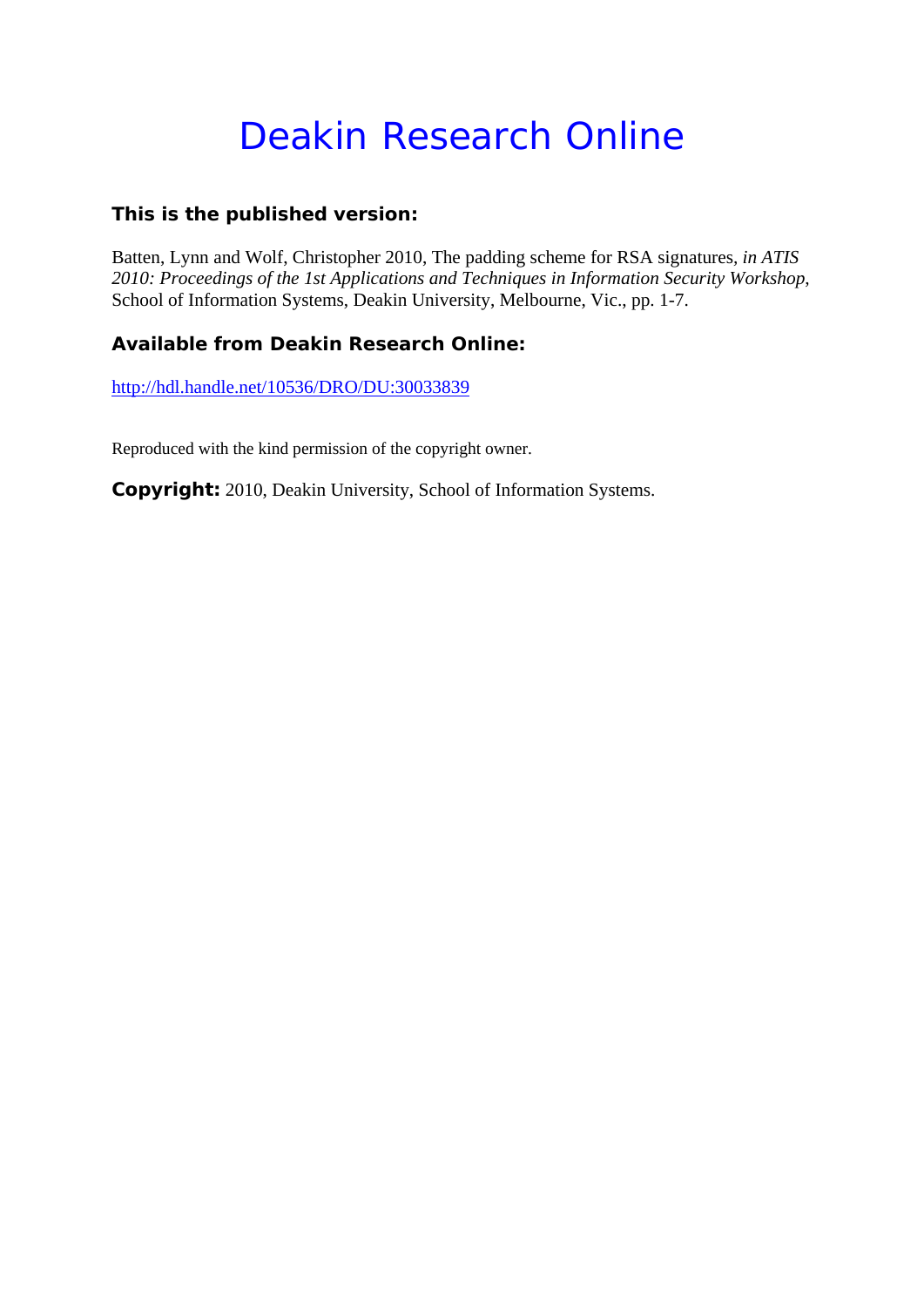# Deakin Research Online

## **This is the published version:**

Batten, Lynn and Wolf, Christopher 2010, The padding scheme for RSA signatures*, in ATIS 2010: Proceedings of the 1st Applications and Techniques in Information Security Workshop*, School of Information Systems, Deakin University, Melbourne, Vic., pp. 1-7.

# **Available from Deakin Research Online:**

http://hdl.handle.net/10536/DRO/DU:30033839

Reproduced with the kind permission of the copyright owner.

**Copyright:** 2010, Deakin University, School of Information Systems.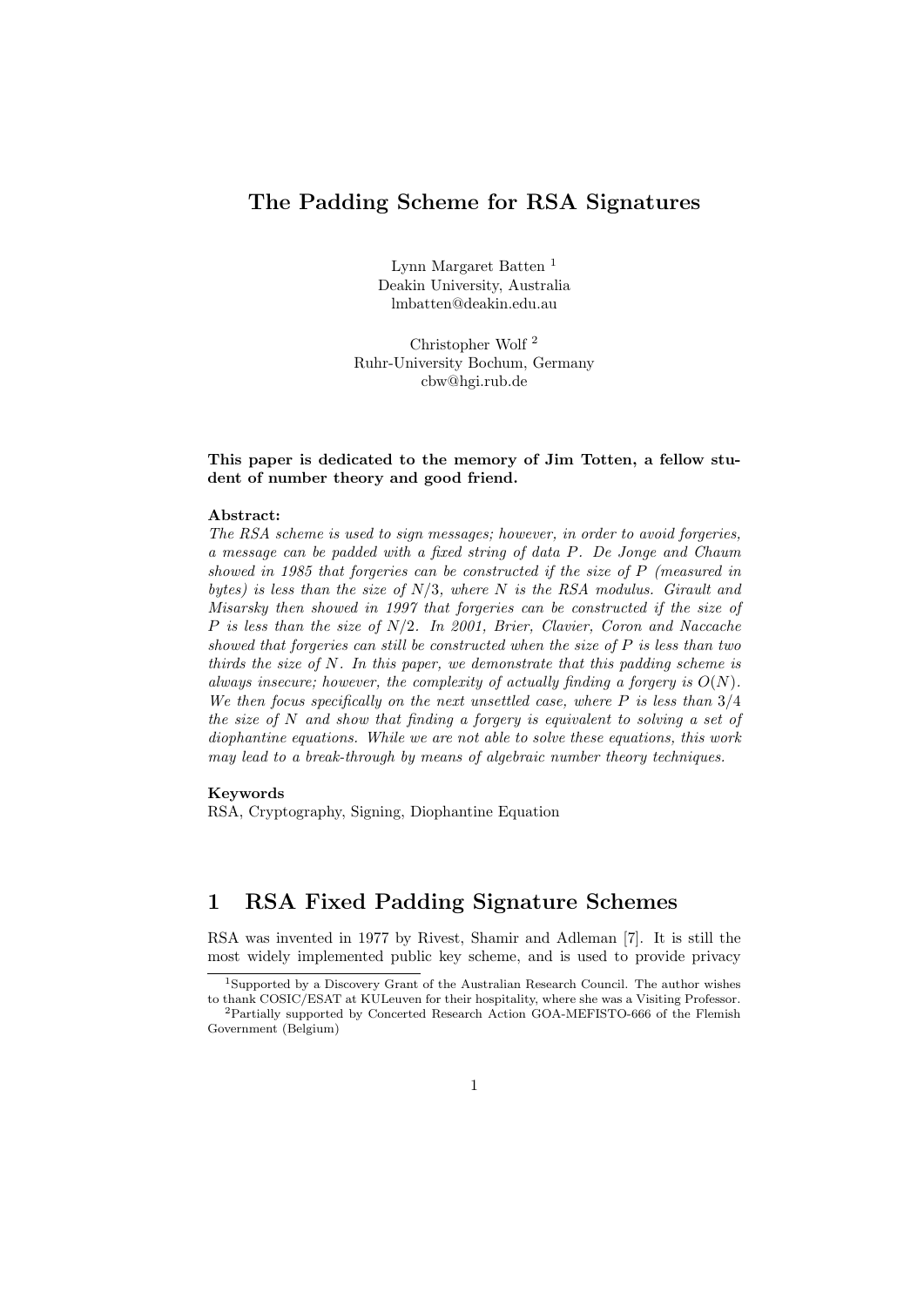## **The Padding Scheme for RSA Signatures**

Lynn Margaret Batten <sup>1</sup> Deakin University, Australia lmbatten@deakin.edu.au

Christopher Wolf <sup>2</sup> Ruhr-University Bochum, Germany cbw@hgi.rub.de

#### **This paper is dedicated to the memory of Jim Totten, a fellow student of number theory and good friend.**

#### **Abstract:**

*The RSA scheme is used to sign messages; however, in order to avoid forgeries, a message can be padded with a fixed string of data P. De Jonge and Chaum showed in 1985 that forgeries can be constructed if the size of P (measured in bytes) is less than the size of N/*3*, where N is the RSA modulus. Girault and Misarsky then showed in 1997 that forgeries can be constructed if the size of P is less than the size of N/*2*. In 2001, Brier, Clavier, Coron and Naccache showed that forgeries can still be constructed when the size of P is less than two thirds the size of N. In this paper, we demonstrate that this padding scheme is always insecure; however, the complexity of actually finding a forgery is O*(*N*)*. We then focus specifically on the next unsettled case, where P is less than* 3*/*4 *the size of N and show that finding a forgery is equivalent to solving a set of diophantine equations. While we are not able to solve these equations, this work may lead to a break-through by means of algebraic number theory techniques.*

#### **Keywords**

RSA, Cryptography, Signing, Diophantine Equation

## **1 RSA Fixed Padding Signature Schemes**

RSA was invented in 1977 by Rivest, Shamir and Adleman [7]. It is still the most widely implemented public key scheme, and is used to provide privacy

<sup>1</sup>Supported by a Discovery Grant of the Australian Research Council. The author wishes

to thank COSIC/ESAT at KULeuven for their hospitality, where she was a Visiting Professor. <sup>2</sup>Partially supported by Concerted Research Action GOA-MEFISTO-666 of the Flemish Government (Belgium)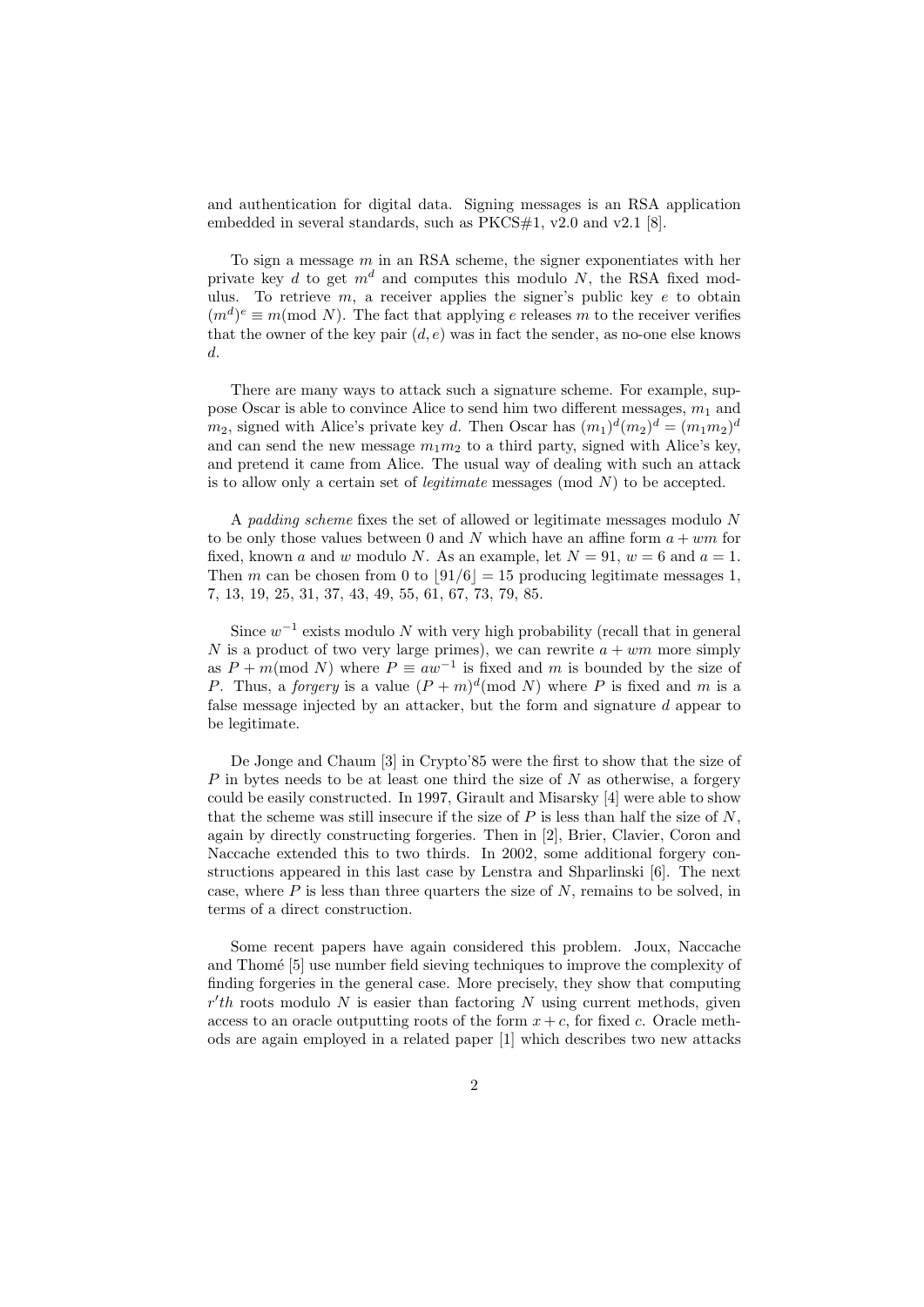and authentication for digital data. Signing messages is an RSA application embedded in several standards, such as PKCS#1, v2.0 and v2.1 [8].

To sign a message *m* in an RSA scheme, the signer exponentiates with her private key *d* to get *m<sup>d</sup>* and computes this modulo *N*, the RSA fixed modulus. To retrieve *m*, a receiver applies the signer's public key *e* to obtain  $(m<sup>d</sup>)<sup>e</sup> \equiv m \pmod{N}$ . The fact that applying *e* releases *m* to the receiver verifies that the owner of the key pair  $(d, e)$  was in fact the sender, as no-one else knows *d*.

There are many ways to attack such a signature scheme. For example, suppose Oscar is able to convince Alice to send him two different messages, *m*<sup>1</sup> and  $m_2$ , signed with Alice's private key *d*. Then Oscar has  $(m_1)^d (m_2)^d = (m_1 m_2)^d$ and can send the new message  $m_1m_2$  to a third party, signed with Alice's key, and pretend it came from Alice. The usual way of dealing with such an attack is to allow only a certain set of *legitimate* messages (mod *N*) to be accepted.

A *padding scheme* fixes the set of allowed or legitimate messages modulo *N* to be only those values between 0 and  $N$  which have an affine form  $a + w m$  for fixed, known *a* and *w* modulo *N*. As an example, let  $N = 91$ ,  $w = 6$  and  $a = 1$ . Then *m* can be chosen from 0 to  $|91/6| = 15$  producing legitimate messages 1, 7, 13, 19, 25, 31, 37, 43, 49, 55, 61, 67, 73, 79, 85.

Since  $w^{-1}$  exists modulo *N* with very high probability (recall that in general *N* is a product of two very large primes), we can rewrite  $a + \omega m$  more simply as  $P + m \pmod{N}$  where  $P \equiv aw^{-1}$  is fixed and *m* is bounded by the size of *P*. Thus, a *forgery* is a value  $(P+m)^d \pmod{N}$  where *P* is fixed and *m* is a false message injected by an attacker, but the form and signature *d* appear to be legitimate.

De Jonge and Chaum [3] in Crypto'85 were the first to show that the size of *P* in bytes needs to be at least one third the size of *N* as otherwise, a forgery could be easily constructed. In 1997, Girault and Misarsky [4] were able to show that the scheme was still insecure if the size of *P* is less than half the size of *N*, again by directly constructing forgeries. Then in [2], Brier, Clavier, Coron and Naccache extended this to two thirds. In 2002, some additional forgery constructions appeared in this last case by Lenstra and Shparlinski [6]. The next case, where *P* is less than three quarters the size of *N*, remains to be solved, in terms of a direct construction.

Some recent papers have again considered this problem. Joux, Naccache and Thome [5] use number field sieving techniques to improve the complexity of finding forgeries in the general case. More precisely, they show that computing *r ′ th* roots modulo *N* is easier than factoring *N* using current methods, given access to an oracle outputting roots of the form  $x + c$ , for fixed *c*. Oracle methods are again employed in a related paper [1] which describes two new attacks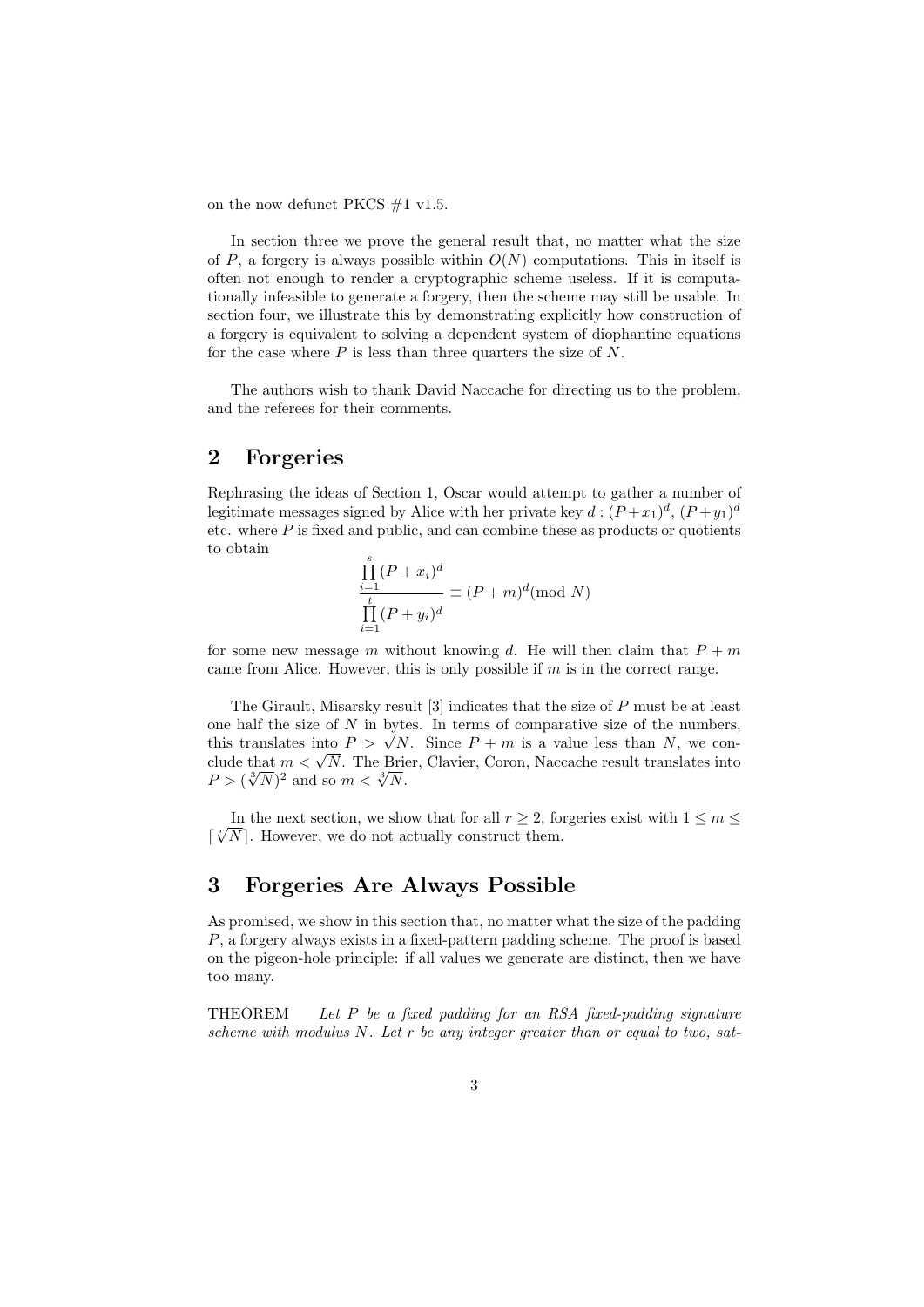on the now defunct PKCS #1 v1.5.

In section three we prove the general result that, no matter what the size of  $P$ , a forgery is always possible within  $O(N)$  computations. This in itself is often not enough to render a cryptographic scheme useless. If it is computationally infeasible to generate a forgery, then the scheme may still be usable. In section four, we illustrate this by demonstrating explicitly how construction of a forgery is equivalent to solving a dependent system of diophantine equations for the case where *P* is less than three quarters the size of *N*.

The authors wish to thank David Naccache for directing us to the problem, and the referees for their comments.

### **2 Forgeries**

Rephrasing the ideas of Section 1, Oscar would attempt to gather a number of legitimate messages signed by Alice with her private key  $d:(P+x_1)^d,(P+y_1)^d$ etc. where  $P$  is fixed and public, and can combine these as products or quotients to obtain

$$
\frac{\prod_{i=1}^{s} (P + x_i)^d}{\prod_{i=1}^{t} (P + y_i)^d} \equiv (P + m)^d \pmod{N}
$$

for some new message *m* without knowing *d*. He will then claim that  $P + m$ came from Alice. However, this is only possible if *m* is in the correct range.

The Girault, Misarsky result [3] indicates that the size of *P* must be at least one half the size of *N* in bytes. In terms of comparative size of the numbers, one nair the size of *N* in bytes. In terms of comparative size of the numbers, this translates into  $P > \sqrt{N}$ . Since  $P + m$  is a value less than *N*, we conthis translates into  $P > \sqrt{N}$ . Since  $P + m$  is a value less than N, we conclude that  $m < \sqrt{N}$ . The Brier, Clavier, Coron, Naccache result translates into  $P > (\sqrt[3]{N})^2$  and so  $m < \sqrt[3]{N}$ .

In the next section, we show that for all  $r \geq 2$ , forgeries exist with  $1 \leq m \leq$ In the next section, we show that for all  $r \geq 2$ , to  $\lceil \sqrt[n]{N} \rceil$ . However, we do not actually construct them.

#### **3 Forgeries Are Always Possible**

As promised, we show in this section that, no matter what the size of the padding *P*, a forgery always exists in a fixed-pattern padding scheme. The proof is based on the pigeon-hole principle: if all values we generate are distinct, then we have too many.

THEOREM *Let P be a fixed padding for an RSA fixed-padding signature scheme with modulus N. Let r be any integer greater than or equal to two, sat-*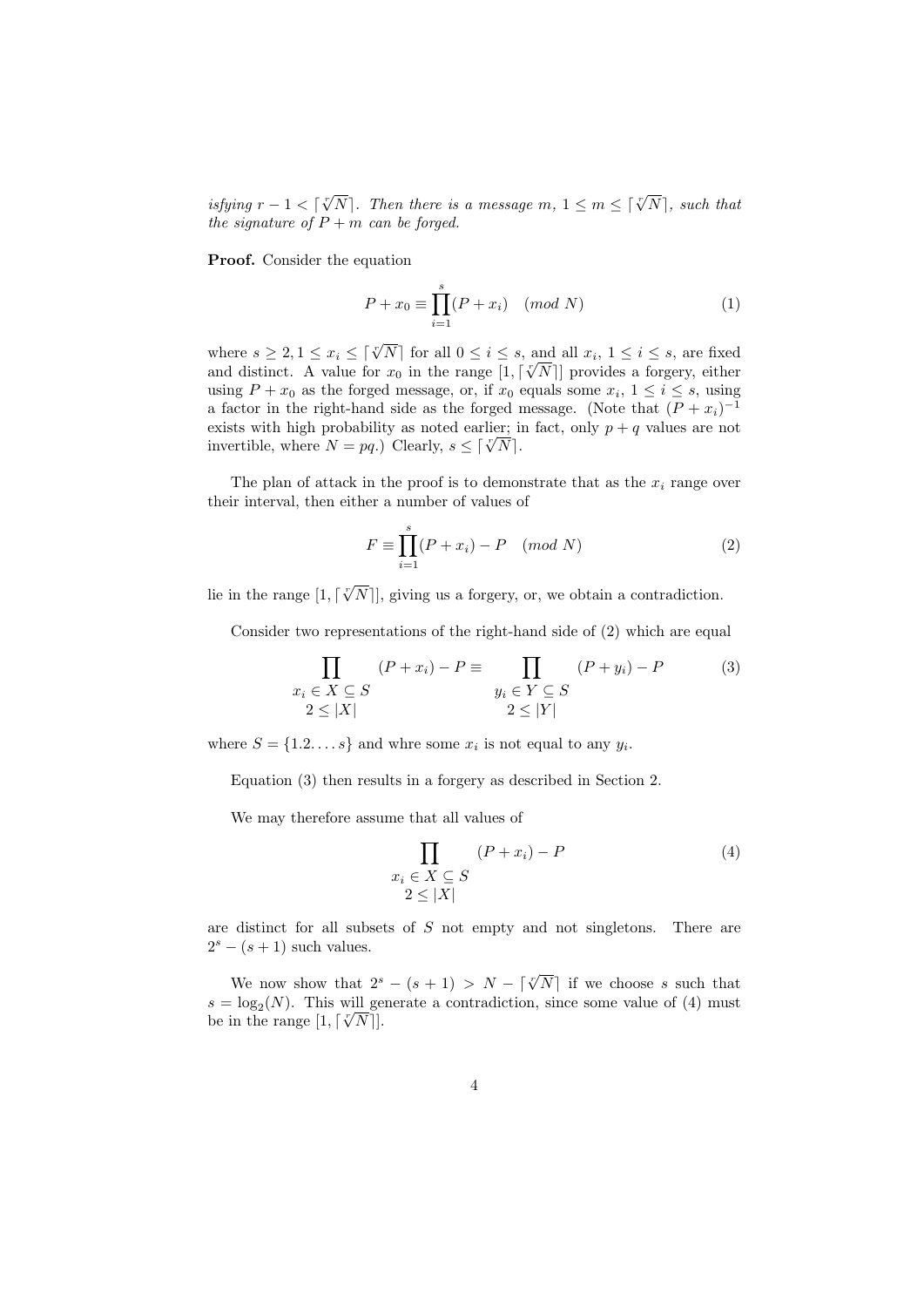*isfying*  $r - 1 < \lceil \sqrt[r]{N} \rceil$ . Then there is a message  $m, 1 \leq m \leq \lceil \sqrt[r]{N} \rceil$ , such that *the signature of*  $P + m$  *can be forged.* 

**Proof.** Consider the equation

$$
P + x_0 \equiv \prod_{i=1}^{s} (P + x_i) \pmod{N}
$$
 (1)

where  $s \geq 2, 1 \leq x_i \leq \lceil \sqrt[x]{N} \rceil$  for all  $0 \leq i \leq s$ , and all  $x_i, 1 \leq i \leq s$ , are fixed where  $s \geq 2$ ,  $1 \leq x_i \leq |\sqrt{N}|$  for all  $0 \leq i \leq s$ , and all  $x_i$ ,  $1 \leq i \leq s$ , are fixed and distinct. A value for  $x_0$  in the range  $[1, \lceil \sqrt[n]{N} \rceil]$  provides a forgery, either using  $P + x_0$  as the forged message, or, if  $x_0$  equals some  $x_i$ ,  $1 \le i \le s$ , using a factor in the right-hand side as the forged message. (Note that  $(P + x_i)^{-1}$ exists with high probability as noted earlier; in fact, only  $p + q$  values are not invertible, where  $N = pq$ .) Clearly,  $s \leq \lceil \sqrt[n]{N} \rceil$ .

The plan of attack in the proof is to demonstrate that as the  $x_i$  range over their interval, then either a number of values of

$$
F \equiv \prod_{i=1}^{s} (P + x_i) - P \pmod{N}
$$
 (2)

lie in the range  $[1, \lceil \sqrt[r]{N} \rceil]$ , giving us a forgery, or, we obtain a contradiction.

Consider two representations of the right-hand side of (2) which are equal

$$
\prod_{\substack{x_i \in X \subseteq S \\ 2 \le |X|}} (P + x_i) - P \equiv \prod_{\substack{y_i \in Y \subseteq S \\ 2 \le |Y|}} (P + y_i) - P \tag{3}
$$

where  $S = \{1, 2, \ldots, s\}$  and whre some  $x_i$  is not equal to any  $y_i$ .

Equation (3) then results in a forgery as described in Section 2.

We may therefore assume that all values of

$$
\prod_{\substack{x_i \in X \subseteq S \\ 2 \le |X|}} (P + x_i) - P \tag{4}
$$

are distinct for all subsets of *S* not empty and not singletons. There are  $2<sup>s</sup> - (s + 1)$  such values.

We now show that  $2^{s} - (s + 1) > N - \lceil \sqrt[n]{N} \rceil$  if we choose *s* such that  $s = \log_2(N)$ . This will generate a contradiction, since some value of (4) must  $s = \log_2(N)$ . I has will get<br>be in the range  $[1, \lceil \sqrt[n]{N} \rceil]$ .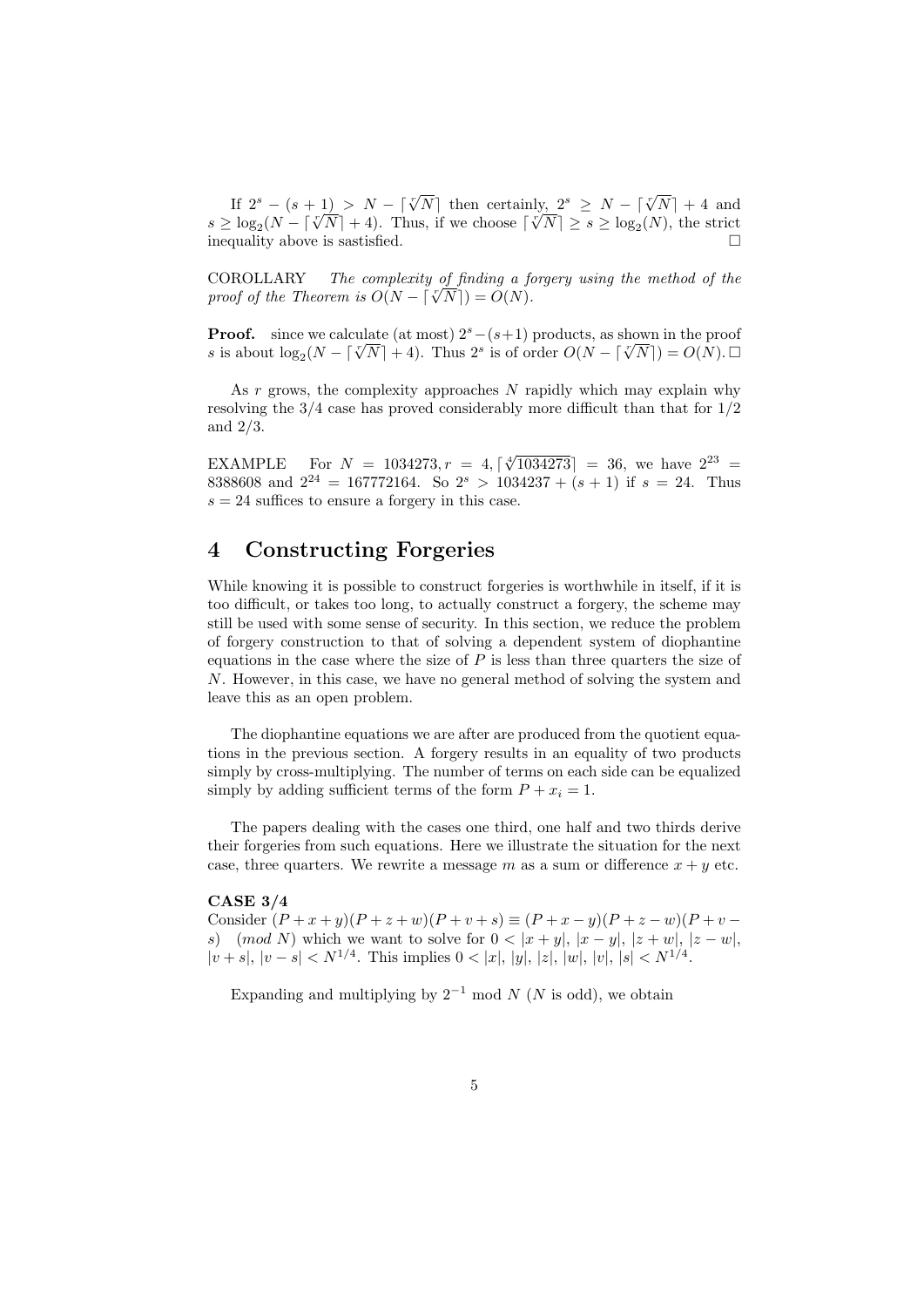If  $2^{s}$  *−* (*s* + 1) *> N* −  $\lceil \sqrt[s]{N} \rceil$  then certainly,  $2^{s}$  *≥ N* −  $\lceil \sqrt[s]{N} \rceil$  + 4 and  $s \geq \log_2(N - \lceil \sqrt[n]{N} \rceil + 4)$ . Thus, if we choose  $\lceil \sqrt[n]{N} \rceil \geq s \geq \log_2(N)$ , the strict inequality above is sastisfied.

COROLLARY *The complexity of finding a forgery using the method of the proof of the Theorem is*  $O(N - \lceil \sqrt[n]{N} \rceil) = O(N)$ *.* 

**Proof.** since we calculate (at most)  $2<sup>s</sup>$ *−*( $s+1$ ) products, as shown in the proof *s* is about  $\log_2(N - \lceil \sqrt[n]{N} \rceil + 4)$ . Thus 2<sup>*s*</sup> is of order  $O(N - \lceil \sqrt[n]{N} \rceil) = O(N)$ .  $\Box$ 

As *r* grows, the complexity approaches *N* rapidly which may explain why resolving the 3*/*4 case has proved considerably more difficult than that for 1*/*2 and 2*/*3.

EXAMPLE For  $N = 1034273, r = 4, \lceil \sqrt[4]{1034273} \rceil = 36$ , we have  $2^{23}$ 8388608 and  $2^{24} = 167772164$ . So  $2^{s} > 1034237 + (s + 1)$  if  $s = 24$ . Thus  $s = 24$  suffices to ensure a forgery in this case.

### **4 Constructing Forgeries**

While knowing it is possible to construct forgeries is worthwhile in itself, if it is too difficult, or takes too long, to actually construct a forgery, the scheme may still be used with some sense of security. In this section, we reduce the problem of forgery construction to that of solving a dependent system of diophantine equations in the case where the size of *P* is less than three quarters the size of *N*. However, in this case, we have no general method of solving the system and leave this as an open problem.

The diophantine equations we are after are produced from the quotient equations in the previous section. A forgery results in an equality of two products simply by cross-multiplying. The number of terms on each side can be equalized simply by adding sufficient terms of the form  $P + x_i = 1$ .

The papers dealing with the cases one third, one half and two thirds derive their forgeries from such equations. Here we illustrate the situation for the next case, three quarters. We rewrite a message m as a sum or difference  $x + y$  etc.

#### **CASE 3/4**

Consider  $(P + x + y)(P + z + w)(P + v + s) \equiv (P + x - y)(P + z - w)(P + v$ *s*) (*mod N*) which we want to solve for  $0 < |x + y|, |x - y|, |z + w|, |z - w|$ ,  $|v+s|, |v-s| < N^{1/4}$ . This implies  $0 < |x|, |y|, |z|, |w|, |v|, |s| < N^{1/4}$ .

Expanding and multiplying by  $2^{-1}$  mod  $N$  ( $N$  is odd), we obtain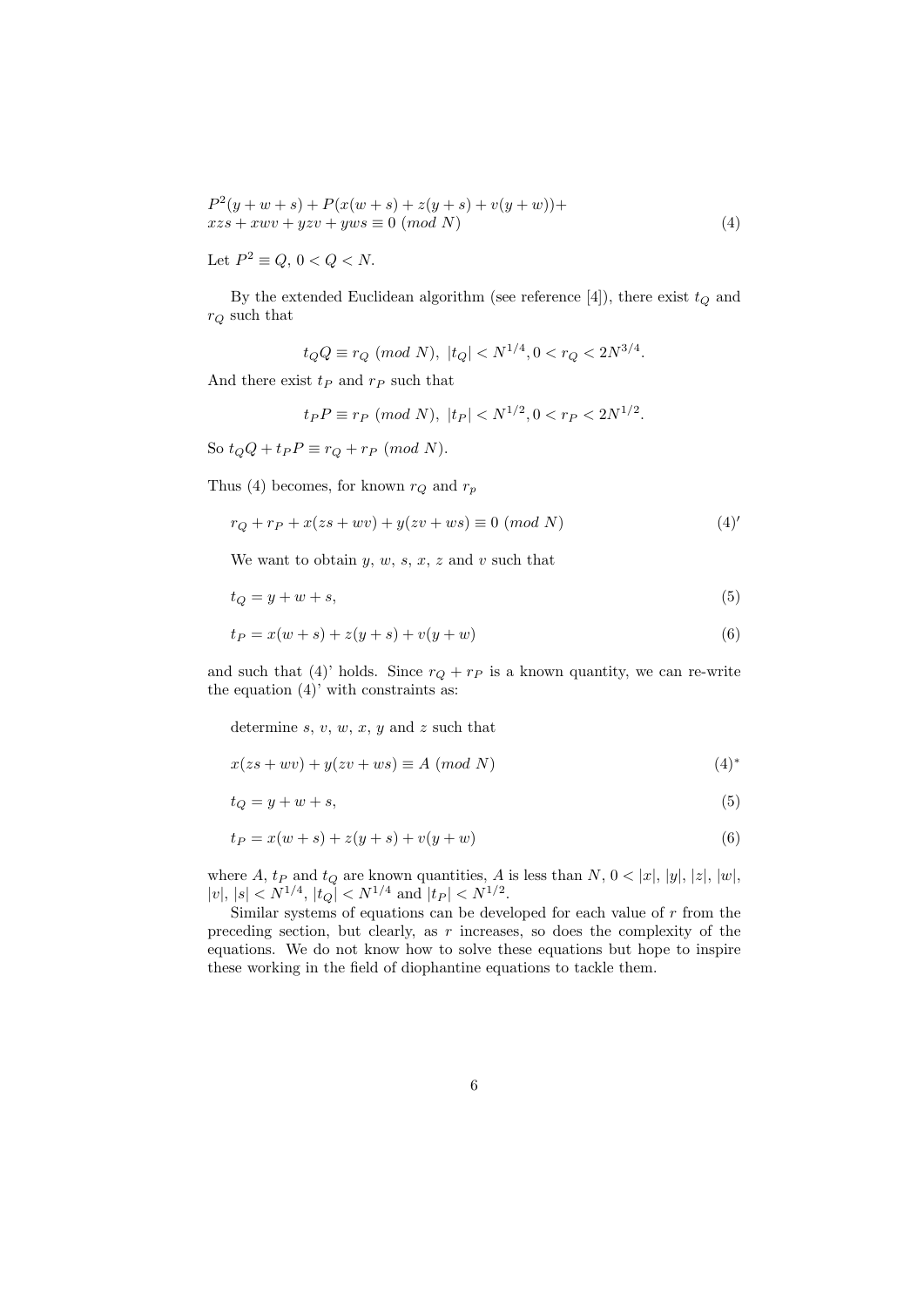$$
P^{2}(y + w + s) + P(x(w + s) + z(y + s) + v(y + w)) + xzs + xwv + yzv + yws \equiv 0 \pmod{N}
$$
\n(4)

Let  $P^2 \equiv Q, 0 < Q < N$ .

By the extended Euclidean algorithm (see reference  $[4]$ ), there exist  $t_Q$  and *r<sup>Q</sup>* such that

$$
t_Q Q \equiv r_Q \pmod{N}, \ |t_Q| < N^{1/4}, \ 0 < r_Q < 2N^{3/4}.
$$

And there exist  $t_P$  and  $r_P$  such that

$$
t_P P \equiv r_P \pmod{N}, \ |t_P| < N^{1/2}, 0 < r_P < 2N^{1/2}.
$$

So  $t_QQ + t_PP \equiv r_Q + r_P \pmod{N}$ .

Thus (4) becomes, for known  $r_Q$  and  $r_p$ 

$$
r_Q + r_P + x(zs + wv) + y(zv + ws) \equiv 0 \ (mod \ N)
$$
 (4)

We want to obtain  $y, w, s, x, z$  and  $v$  such that

$$
t_Q = y + w + s,\tag{5}
$$

$$
t_P = x(w+s) + z(y+s) + v(y+w)
$$
\n(6)

and such that (4)' holds. Since  $r_Q + r_P$  is a known quantity, we can re-write the equation  $(4)$ <sup>'</sup> with constraints as:

determine *s*, *v*, *w*, *x*, *y* and *z* such that

$$
x(zs + wv) + y(zv + ws) \equiv A \pmod{N}
$$
 (4)\*

$$
t_Q = y + w + s,\tag{5}
$$

$$
t_P = x(w+s) + z(y+s) + v(y+w)
$$
\n(6)

where  $A$ ,  $t_P$  and  $t_Q$  are known quantities,  $A$  is less than  $N$ ,  $0 < |x|$ ,  $|y|$ ,  $|z|$ ,  $|w|$ ,  $|v|, |s| < N^{1/4}, |t_Q| < N^{1/4}$  and  $|t_P| < N^{1/2}$ .

Similar systems of equations can be developed for each value of *r* from the preceding section, but clearly, as *r* increases, so does the complexity of the equations. We do not know how to solve these equations but hope to inspire these working in the field of diophantine equations to tackle them.